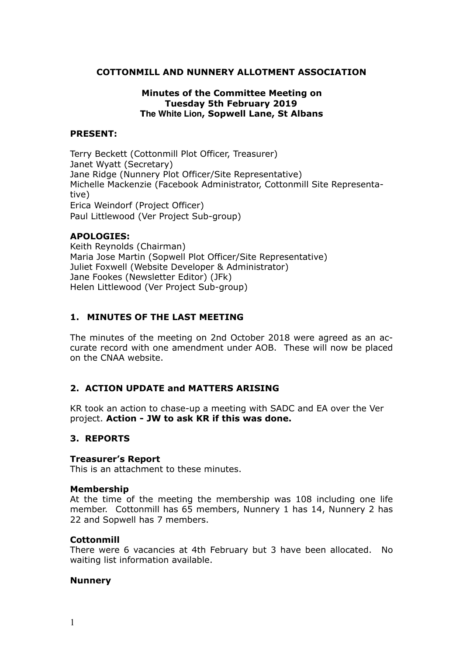## **COTTONMILL AND NUNNERY ALLOTMENT ASSOCIATION**

## **Minutes of the Committee Meeting on Tuesday 5th February 2019 The White Lion, Sopwell Lane, St Albans**

### **PRESENT:**

Terry Beckett (Cottonmill Plot Officer, Treasurer) Janet Wyatt (Secretary) Jane Ridge (Nunnery Plot Officer/Site Representative) Michelle Mackenzie (Facebook Administrator, Cottonmill Site Representative) Erica Weindorf (Project Officer) Paul Littlewood (Ver Project Sub-group)

#### **APOLOGIES:**

Keith Reynolds (Chairman) Maria Jose Martin (Sopwell Plot Officer/Site Representative) Juliet Foxwell (Website Developer & Administrator) Jane Fookes (Newsletter Editor) (JFk) Helen Littlewood (Ver Project Sub-group)

## **1. MINUTES OF THE LAST MEETING**

The minutes of the meeting on 2nd October 2018 were agreed as an accurate record with one amendment under AOB. These will now be placed on the CNAA website.

## **2. ACTION UPDATE and MATTERS ARISING**

KR took an action to chase-up a meeting with SADC and EA over the Ver project. **Action - JW to ask KR if this was done.**

#### **3. REPORTS**

#### **Treasurer's Report**

This is an attachment to these minutes.

#### **Membership**

At the time of the meeting the membership was 108 including one life member. Cottonmill has 65 members, Nunnery 1 has 14, Nunnery 2 has 22 and Sopwell has 7 members.

#### **Cottonmill**

There were 6 vacancies at 4th February but 3 have been allocated. No waiting list information available.

#### **Nunnery**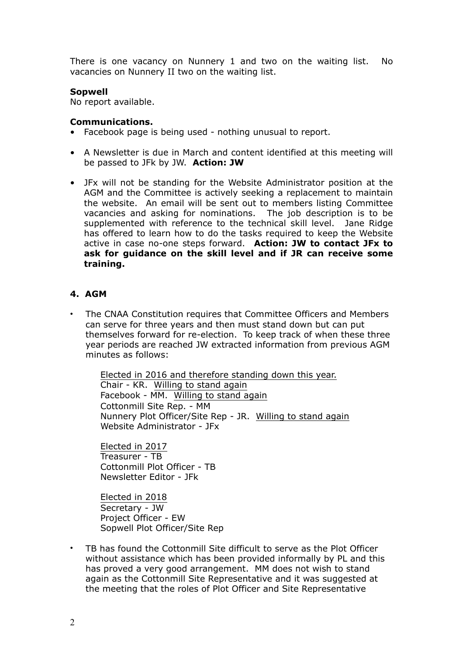There is one vacancy on Nunnery 1 and two on the waiting list. No vacancies on Nunnery II two on the waiting list.

## **Sopwell**

No report available.

## **Communications.**

- Facebook page is being used nothing unusual to report.
- A Newsletter is due in March and content identified at this meeting will be passed to JFk by JW. **Action: JW**
- JFx will not be standing for the Website Administrator position at the AGM and the Committee is actively seeking a replacement to maintain the website. An email will be sent out to members listing Committee vacancies and asking for nominations. The job description is to be supplemented with reference to the technical skill level. Jane Ridge has offered to learn how to do the tasks required to keep the Website active in case no-one steps forward. **Action: JW to contact JFx to ask for guidance on the skill level and if JR can receive some training.**

## **4. AGM**

• The CNAA Constitution requires that Committee Officers and Members can serve for three years and then must stand down but can put themselves forward for re-election. To keep track of when these three year periods are reached JW extracted information from previous AGM minutes as follows:

Elected in 2016 and therefore standing down this year. Chair - KR. Willing to stand again Facebook - MM. Willing to stand again Cottonmill Site Rep. - MM Nunnery Plot Officer/Site Rep - JR. Willing to stand again Website Administrator - JFx

Elected in 2017 Treasurer - TB Cottonmill Plot Officer - TB Newsletter Editor - JFk

Elected in 2018 Secretary - JW Project Officer - EW Sopwell Plot Officer/Site Rep

• TB has found the Cottonmill Site difficult to serve as the Plot Officer without assistance which has been provided informally by PL and this has proved a very good arrangement. MM does not wish to stand again as the Cottonmill Site Representative and it was suggested at the meeting that the roles of Plot Officer and Site Representative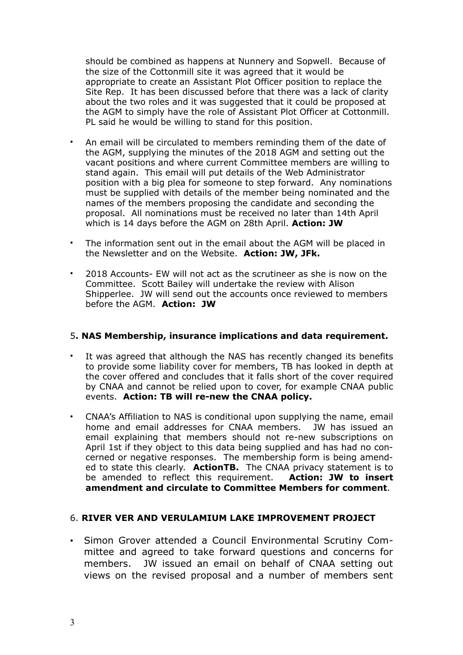should be combined as happens at Nunnery and Sopwell. Because of the size of the Cottonmill site it was agreed that it would be appropriate to create an Assistant Plot Officer position to replace the Site Rep. It has been discussed before that there was a lack of clarity about the two roles and it was suggested that it could be proposed at the AGM to simply have the role of Assistant Plot Officer at Cottonmill. PL said he would be willing to stand for this position.

- An email will be circulated to members reminding them of the date of the AGM, supplying the minutes of the 2018 AGM and setting out the vacant positions and where current Committee members are willing to stand again. This email will put details of the Web Administrator position with a big plea for someone to step forward. Any nominations must be supplied with details of the member being nominated and the names of the members proposing the candidate and seconding the proposal. All nominations must be received no later than 14th April which is 14 days before the AGM on 28th April. **Action: JW**
- The information sent out in the email about the AGM will be placed in the Newsletter and on the Website. **Action: JW, JFk.**
- 2018 Accounts- EW will not act as the scrutineer as she is now on the Committee. Scott Bailey will undertake the review with Alison Shipperlee. JW will send out the accounts once reviewed to members before the AGM. **Action: JW**

### 5**. NAS Membership, insurance implications and data requirement.**

- It was agreed that although the NAS has recently changed its benefits to provide some liability cover for members, TB has looked in depth at the cover offered and concludes that it falls short of the cover required by CNAA and cannot be relied upon to cover, for example CNAA public events. **Action: TB will re-new the CNAA policy.**
- CNAA's Affiliation to NAS is conditional upon supplying the name, email home and email addresses for CNAA members. JW has issued an email explaining that members should not re-new subscriptions on April 1st if they object to this data being supplied and has had no concerned or negative responses. The membership form is being amended to state this clearly. **ActionTB.** The CNAA privacy statement is to be amended to reflect this requirement. **Action: JW to insert amendment and circulate to Committee Members for comment**.

### 6. **RIVER VER AND VERULAMIUM LAKE IMPROVEMENT PROJECT**

• Simon Grover attended a Council Environmental Scrutiny Committee and agreed to take forward questions and concerns for members. JW issued an email on behalf of CNAA setting out views on the revised proposal and a number of members sent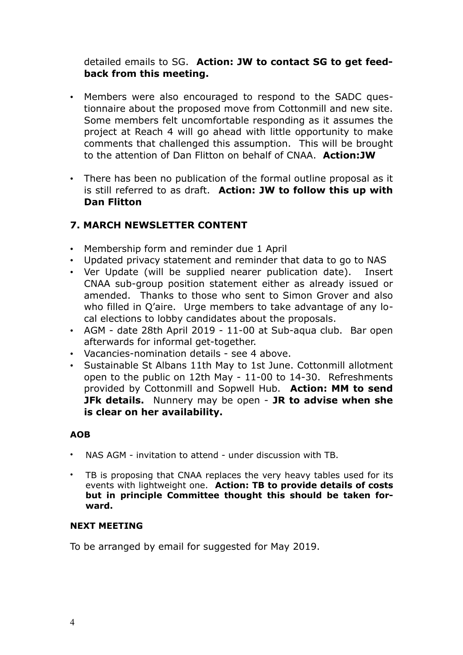detailed emails to SG. **Action: JW to contact SG to get feedback from this meeting.** 

- Members were also encouraged to respond to the SADC questionnaire about the proposed move from Cottonmill and new site. Some members felt uncomfortable responding as it assumes the project at Reach 4 will go ahead with little opportunity to make comments that challenged this assumption. This will be brought to the attention of Dan Flitton on behalf of CNAA. **Action:JW**
- There has been no publication of the formal outline proposal as it is still referred to as draft. **Action: JW to follow this up with Dan Flitton**

# **7. MARCH NEWSLETTER CONTENT**

- Membership form and reminder due 1 April
- Updated privacy statement and reminder that data to go to NAS
- Ver Update (will be supplied nearer publication date). Insert CNAA sub-group position statement either as already issued or amended. Thanks to those who sent to Simon Grover and also who filled in Q'aire. Urge members to take advantage of any local elections to lobby candidates about the proposals.
- AGM date 28th April 2019 11-00 at Sub-aqua club. Bar open afterwards for informal get-together.
- Vacancies-nomination details see 4 above.
- Sustainable St Albans 11th May to 1st June. Cottonmill allotment open to the public on 12th May - 11-00 to 14-30. Refreshments provided by Cottonmill and Sopwell Hub. **Action: MM to send JFk details.** Nunnery may be open - **JR to advise when she is clear on her availability.**

## **AOB**

- NAS AGM invitation to attend under discussion with TB.
- TB is proposing that CNAA replaces the very heavy tables used for its events with lightweight one. **Action: TB to provide details of costs but in principle Committee thought this should be taken forward.**

## **NEXT MEETING**

To be arranged by email for suggested for May 2019.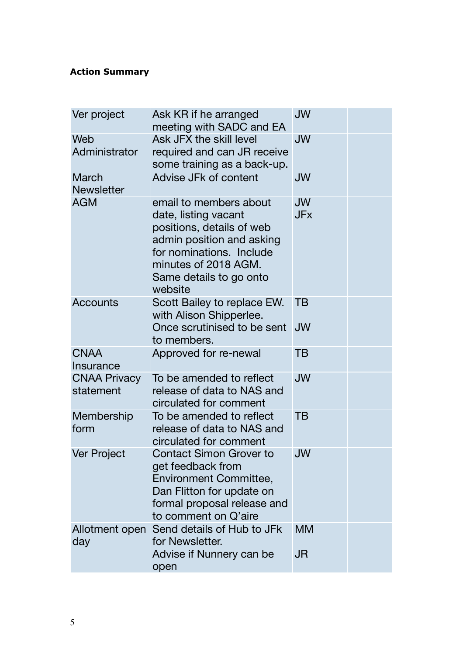## **Action Summary**

| Ver project                      | Ask KR if he arranged<br>meeting with SADC and EA                                                                                                                                                  | <b>JW</b>               |  |
|----------------------------------|----------------------------------------------------------------------------------------------------------------------------------------------------------------------------------------------------|-------------------------|--|
| Web<br>Administrator             | Ask JFX the skill level<br>required and can JR receive<br>some training as a back-up.                                                                                                              | <b>JW</b>               |  |
| March<br><b>Newsletter</b>       | Advise JFk of content                                                                                                                                                                              | JW                      |  |
| <b>AGM</b>                       | email to members about<br>date, listing vacant<br>positions, details of web<br>admin position and asking<br>for nominations. Include<br>minutes of 2018 AGM.<br>Same details to go onto<br>website | <b>JW</b><br><b>JFx</b> |  |
| <b>Accounts</b>                  | Scott Bailey to replace EW.<br>with Alison Shipperlee.<br>Once scrutinised to be sent<br>to members.                                                                                               | TВ<br><b>JW</b>         |  |
| <b>CNAA</b><br>Insurance         | Approved for re-newal                                                                                                                                                                              | TB                      |  |
| <b>CNAA Privacy</b><br>statement | To be amended to reflect<br>release of data to NAS and<br>circulated for comment                                                                                                                   | <b>JW</b>               |  |
| Membership<br>form               | To be amended to reflect<br>release of data to NAS and<br>circulated for comment                                                                                                                   | TB                      |  |
| Ver Project                      | <b>Contact Simon Grover to</b><br>get feedback from<br><b>Environment Committee,</b><br>Dan Flitton for update on<br>formal proposal release and<br>to comment on Q'aire                           | JW                      |  |
| Allotment open<br>day            | Send details of Hub to JFk<br>for Newsletter.<br>Advise if Nunnery can be                                                                                                                          | <b>MM</b><br>JR         |  |
|                                  | open                                                                                                                                                                                               |                         |  |